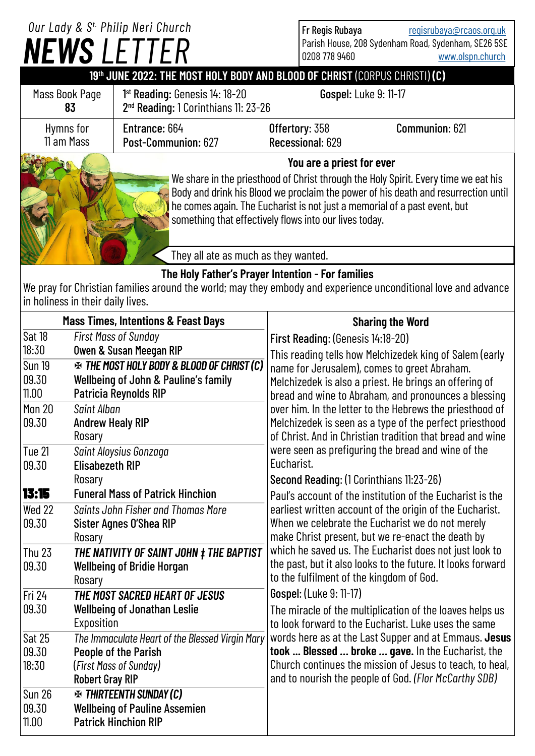## *NEWS LETTER Our Lady & S t. Philip Neri Church*

Fr Regis Rubaya [regisrubaya@rcaos.org.uk](mailto:regisrubaya@rcaos.org.uk) Parish House, 208 Sydenham Road, Sydenham, SE26 5SE 0208 778 9460 [www.olspn.church](http://www.olspn.church)

## **19th JUNE 2022: THE MOST HOLY BODY AND BLOOD OF CHRIST** (CORPUS CHRISTI) **(C)**

| Mass Book Page<br>83    | $1st$ Reading: Genesis $14:18-20$<br>2 <sup>nd</sup> Reading: 1 Corinthians 11: 23-26                            | <b>Gospel: Luke 9: 11-17</b>       |                |
|-------------------------|------------------------------------------------------------------------------------------------------------------|------------------------------------|----------------|
| Hymns for<br>11 am Mass | Entrance: 664<br>Post-Communion: 627                                                                             | Offertory: 358<br>Recessional: 629 | Communion: 621 |
|                         | You are a priest for ever<br>We share in the priesthood of Christ through the Holy Spirit. Every time we eat his |                                    |                |

We share in the priesthood of Christ through the Holy Spirit. Every time we eat his Body and drink his Blood we proclaim the power of his death and resurrection until he comes again. The Eucharist is not just a memorial of a past event, but something that effectively flows into our lives today.

They all ate as much as they wanted.

## **The Holy Father's Prayer Intention - For families**

We pray for Christian families around the world; may they embody and experience unconditional love and advance in holiness in their daily lives.

| <b>Mass Times, Intentions &amp; Feast Days</b>     |                                                                                                                                                                                              | <b>Sharing the Word</b>                                                                                                                                                                                                                                                    |  |
|----------------------------------------------------|----------------------------------------------------------------------------------------------------------------------------------------------------------------------------------------------|----------------------------------------------------------------------------------------------------------------------------------------------------------------------------------------------------------------------------------------------------------------------------|--|
| Sat 18<br>18:30<br><b>Sun 19</b><br>09.30<br>11.00 | <b>First Mass of Sunday</b><br><b>Owen &amp; Susan Meegan RIP</b><br><b>EX THE MOST HOLY BODY &amp; BLOOD OF CHRIST (C)</b><br>Wellbeing of John & Pauline's family<br>Patricia Reynolds RIP | First Reading: (Genesis 14:18-20)<br>This reading tells how Melchizedek king of Salem (early<br>name for Jerusalem), comes to greet Abraham.<br>Melchizedek is also a priest. He brings an offering of                                                                     |  |
| <b>Mon 20</b><br>09.30                             | Saint Alban<br><b>Andrew Healy RIP</b><br>Rosary                                                                                                                                             | bread and wine to Abraham, and pronounces a blessing<br>over him. In the letter to the Hebrews the priesthood of<br>Melchizedek is seen as a type of the perfect priesthood<br>of Christ. And in Christian tradition that bread and wine                                   |  |
| Tue 21<br>09.30                                    | Saint Aloysius Gonzaga<br><b>Elisabezeth RIP</b>                                                                                                                                             | were seen as prefiguring the bread and wine of the<br>Eucharist.                                                                                                                                                                                                           |  |
| 13:15                                              | Rosary<br><b>Funeral Mass of Patrick Hinchion</b>                                                                                                                                            | Second Reading: (1 Corinthians 11:23-26)<br>Paul's account of the institution of the Eucharist is the<br>earliest written account of the origin of the Eucharist.<br>When we celebrate the Eucharist we do not merely<br>make Christ present, but we re-enact the death by |  |
| Wed 22<br>09.30                                    | Saints John Fisher and Thomas More<br>Sister Agnes O'Shea RIP<br>Rosary                                                                                                                      |                                                                                                                                                                                                                                                                            |  |
| <b>Thu 23</b><br>09.30                             | THE NATIVITY OF SAINT JOHN ‡ THE BAPTIST<br><b>Wellbeing of Bridie Horgan</b><br>Rosary                                                                                                      | which he saved us. The Eucharist does not just look to<br>the past, but it also looks to the future. It looks forward<br>to the fulfilment of the kingdom of God.                                                                                                          |  |
| Fri 24<br>09.30                                    | THE MOST SACRED HEART OF JESUS<br><b>Wellbeing of Jonathan Leslie</b><br>Exposition                                                                                                          | Gospel: (Luke 9: 11-17)<br>The miracle of the multiplication of the loaves helps us<br>to look forward to the Eucharist. Luke uses the same                                                                                                                                |  |
| <b>Sat 25</b><br>09.30<br>18:30                    | The Immaculate Heart of the Blessed Virgin Mary<br>People of the Parish<br>(First Mass of Sunday)<br><b>Robert Gray RIP</b>                                                                  | words here as at the Last Supper and at Emmaus. Jesus<br>took  Blessed  broke  gave. In the Eucharist, the<br>Church continues the mission of Jesus to teach, to heal,<br>and to nourish the people of God. (Flor McCarthy SDB)                                            |  |
| <b>Sun 26</b><br>09.30<br>11.00                    | <b>EX THIRTEENTH SUNDAY (C)</b><br><b>Wellbeing of Pauline Assemien</b><br><b>Patrick Hinchion RIP</b>                                                                                       |                                                                                                                                                                                                                                                                            |  |